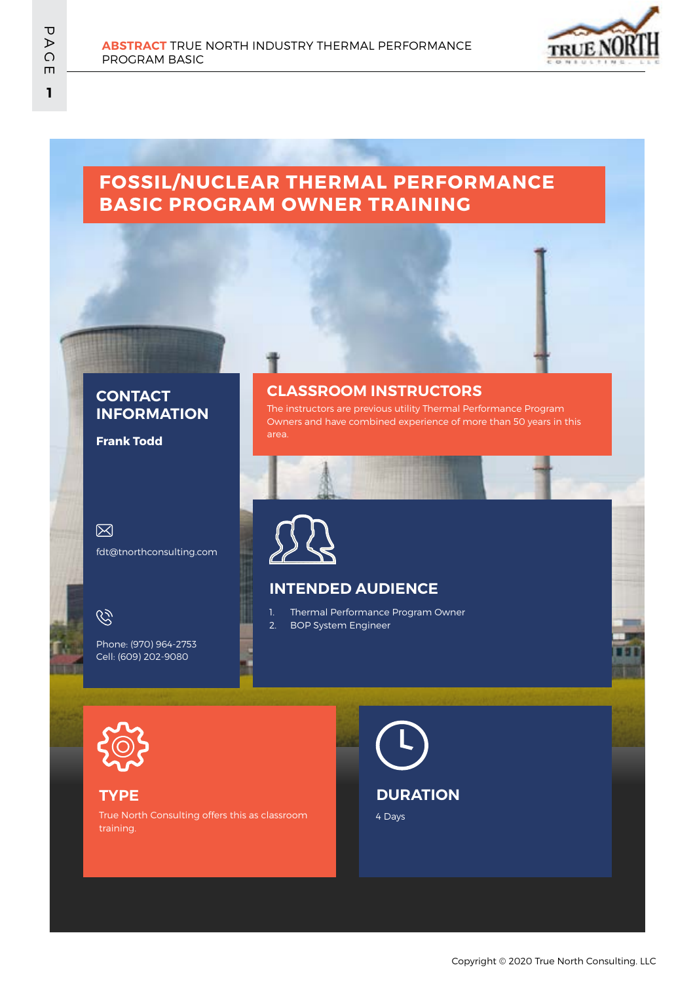

## **FOSSIL/NUCLEAR THERMAL PERFORMANCE BASIC PROGRAM OWNER TRAINING**

#### **CONTACT INFORMATION**

**Frank Todd**

 $\boxtimes$ fdt@tnorthconsulting.com

Q

Phone: (970) 964-2753 Cell: (609) 202-9080

#### **CLASSROOM INSTRUCTORS**

The instructors are previous utility Thermal Performance Program Owners and have combined experience of more than 50 years in this



#### **INTENDED AUDIENCE**

- 1. Thermal Performance Program Owner 2. BOP System Engineer
- 

#### **TYPE**

True North Consulting offers this as classroom training.

4 Days **DURATION**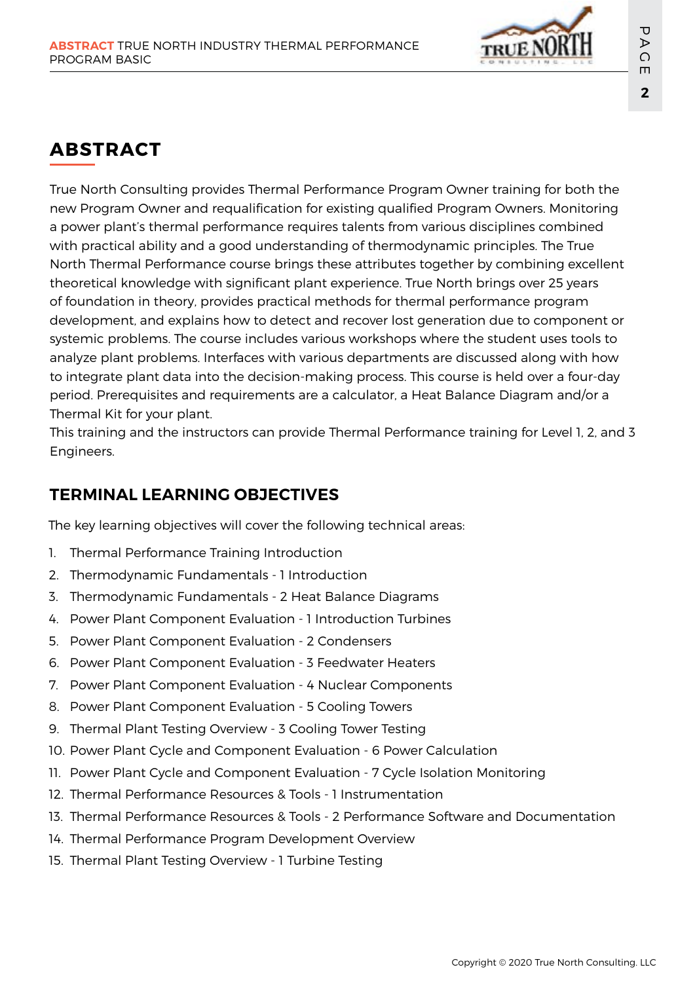

# **ABSTRACT**

True North Consulting provides Thermal Performance Program Owner training for both the new Program Owner and requalification for existing qualified Program Owners. Monitoring a power plant's thermal performance requires talents from various disciplines combined with practical ability and a good understanding of thermodynamic principles. The True North Thermal Performance course brings these attributes together by combining excellent theoretical knowledge with significant plant experience. True North brings over 25 years of foundation in theory, provides practical methods for thermal performance program development, and explains how to detect and recover lost generation due to component or systemic problems. The course includes various workshops where the student uses tools to analyze plant problems. Interfaces with various departments are discussed along with how to integrate plant data into the decision-making process. This course is held over a four-day period. Prerequisites and requirements are a calculator, a Heat Balance Diagram and/or a Thermal Kit for your plant.

This training and the instructors can provide Thermal Performance training for Level 1, 2, and 3 Engineers.

## **TERMINAL LEARNING OBJECTIVES**

The key learning objectives will cover the following technical areas:

- 1. Thermal Performance Training Introduction
- 2. Thermodynamic Fundamentals 1 Introduction
- 3. Thermodynamic Fundamentals 2 Heat Balance Diagrams
- 4. Power Plant Component Evaluation 1 Introduction Turbines
- 5. Power Plant Component Evaluation 2 Condensers
- 6. Power Plant Component Evaluation 3 Feedwater Heaters
- 7. Power Plant Component Evaluation 4 Nuclear Components
- 8. Power Plant Component Evaluation 5 Cooling Towers
- 9. Thermal Plant Testing Overview 3 Cooling Tower Testing
- 10. Power Plant Cycle and Component Evaluation 6 Power Calculation
- 11. Power Plant Cycle and Component Evaluation 7 Cycle Isolation Monitoring
- 12. Thermal Performance Resources & Tools 1 Instrumentation
- 13. Thermal Performance Resources & Tools 2 Performance Software and Documentation
- 14. Thermal Performance Program Development Overview
- 15. Thermal Plant Testing Overview 1 Turbine Testing